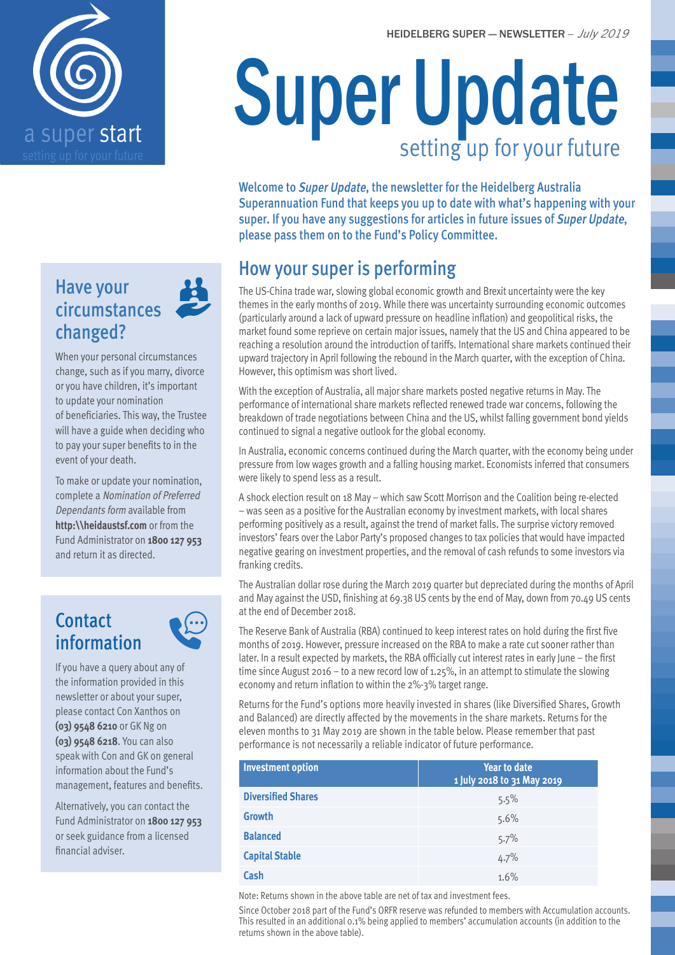



# Super Update setting up for your future

Welcome to Super Update, the newsletter for the Heidelberg Australia Superannuation Fund that keeps you up to date with what's happening with your super. If you have any suggestions for articles in future issues of Super Update, please pass them on to the Fund's Policy Committee.

## How your super is performing

The US-China trade war, slowing global economic growth and Brexit uncertainty were the key themes in the early months of 2019. While there was uncertainty surrounding economic outcomes (particularly around a lack of upward pressure on headline inflation) and geopolitical risks, the market found some reprieve on certain major issues, namely that the US and China appeared to be reaching a resolution around the introduction of tariffs. International share markets continued their upward trajectory in April following the rebound in the March quarter, with the exception of China. However, this optimism was short lived.

With the exception of Australia, all major share markets posted negative returns in May. The performance of international share markets reflected renewed trade war concerns, following the breakdown of trade negotiations between China and the US, whilst falling government bond yields continued to signal a negative outlook for the global economy.

In Australia, economic concerns continued during the March quarter, with the economy being under pressure from low wages growth and a falling housing market. Economists inferred that consumers were likely to spend less as a result.

A shock election result on 18 May – which saw Scott Morrison and the Coalition being re-elected – was seen as a positive for the Australian economy by investment markets, with local shares performing positively as a result, against the trend of market falls. The surprise victory removed investors' fears over the Labor Party's proposed changes to tax policies that would have impacted negative gearing on investment properties, and the removal of cash refunds to some investors via franking credits.

The Australian dollar rose during the March 2019 quarter but depreciated during the months of April and May against the USD, finishing at 69.38 US cents by the end of May, down from 70.49 US cents at the end of December 2018.

The Reserve Bank of Australia (RBA) continued to keep interest rates on hold during the first five months of 2019. However, pressure increased on the RBA to make a rate cut sooner rather than later. In a result expected by markets, the RBA officially cut interest rates in early June – the first time since August 2016 – to a new record low of 1.25%, in an attempt to stimulate the slowing economy and return inflation to within the 2%-3% target range.

Returns for the Fund's options more heavily invested in shares (like Diversified Shares, Growth and Balanced) are directly affected by the movements in the share markets. Returns for the eleven months to 31 May 2019 are shown in the table below. Please remember that past performance is not necessarily a reliable indicator of future performance.

| <b>Investment option</b>  | <b>Year to date</b><br>1 July 2018 to 31 May 2019 |
|---------------------------|---------------------------------------------------|
| <b>Diversified Shares</b> | 5.5%                                              |
| <b>Growth</b>             | 5.6%                                              |
| <b>Balanced</b>           | 5.7%                                              |
| <b>Capital Stable</b>     | 4.7%                                              |
| Cash                      | 1.6%                                              |

Note: Returns shown in the above table are net of tax and investment fees.

Since October 2018 part of the Fund's ORFR reserve was refunded to members with Accumulation accounts. This resulted in an additional 0.1% being applied to members' accumulation accounts (in addition to the returns shown in the above table).

#### Have your circumstances changed?

When your personal circumstances change, such as if you marry, divorce or you have children, it's important to update your nomination of beneficiaries. This way, the Trustee will have a guide when deciding who to pay your super benefits to in the event of your death.

To make or update your nomination, complete a Nomination of Preferred Dependants form available from **http:\\heidaustsf.com** or from the Fund Administrator on **1800 127 953** and return it as directed.

## **Contact** information



If you have a query about any of the information provided in this newsletter or about your super, please contact Con Xanthos on **(03) 9548 6210** or GK Ng on **(03) 9548 6218**. You can also speak with Con and GK on general information about the Fund's management, features and benefits.

Alternatively, you can contact the Fund Administrator on **1800 127 953** or seek guidance from a licensed financial adviser.